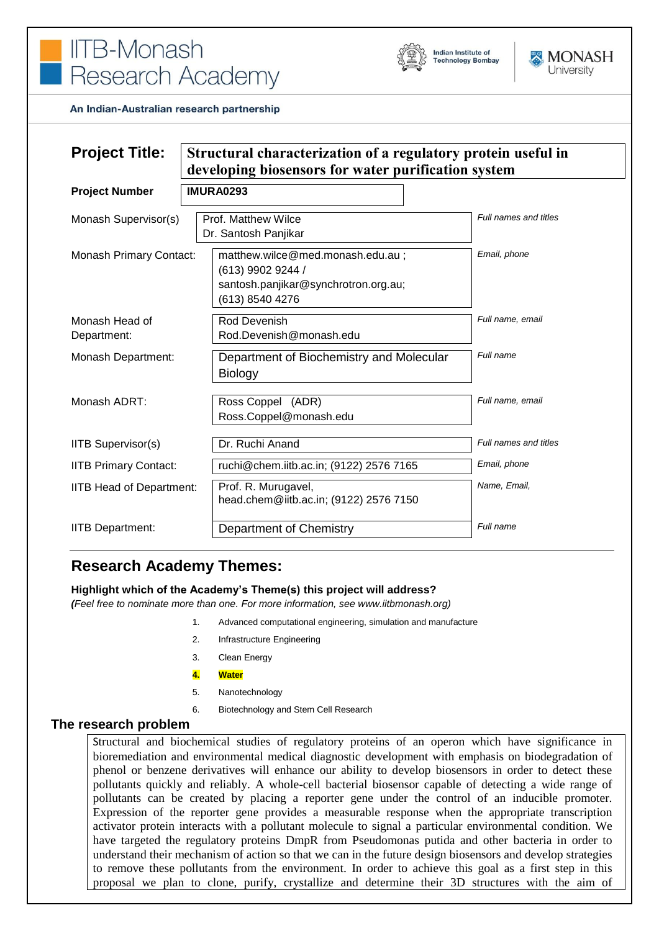

An Indian-Australian research partnership

| <b>Project Title:</b>           | Structural characterization of a regulatory protein useful in<br>developing biosensors for water purification system |                       |
|---------------------------------|----------------------------------------------------------------------------------------------------------------------|-----------------------|
| <b>Project Number</b>           | <b>IMURA0293</b>                                                                                                     |                       |
| Monash Supervisor(s)            | Prof. Matthew Wilce<br>Dr. Santosh Panjikar                                                                          | Full names and titles |
| <b>Monash Primary Contact:</b>  | matthew.wilce@med.monash.edu.au;<br>(613) 9902 9244 /<br>santosh.panjikar@synchrotron.org.au;<br>(613) 8540 4276     | Email, phone          |
| Monash Head of<br>Department:   | Rod Devenish<br>Rod.Devenish@monash.edu                                                                              | Full name, email      |
| <b>Monash Department:</b>       | Department of Biochemistry and Molecular<br><b>Biology</b>                                                           | Full name             |
| Monash ADRT:                    | Ross Coppel (ADR)<br>Ross.Coppel@monash.edu                                                                          | Full name, email      |
| <b>IITB Supervisor(s)</b>       | Dr. Ruchi Anand                                                                                                      | Full names and titles |
| <b>IITB Primary Contact:</b>    | ruchi@chem.iitb.ac.in; (9122) 2576 7165                                                                              | Email, phone          |
| <b>IITB Head of Department:</b> | Prof. R. Murugavel,<br>head.chem@iitb.ac.in; (9122) 2576 7150                                                        | Name, Email,          |
| <b>IITB Department:</b>         | Department of Chemistry                                                                                              | Full name             |

# **Research Academy Themes:**

#### **Highlight which of the Academy's Theme(s) this project will address?**

*(Feel free to nominate more than one. For more information, see www.iitbmonash.org)*

- 1. Advanced computational engineering, simulation and manufacture
- 2. Infrastructure Engineering
- 3. Clean Energy
- **4. Water**
- 5. Nanotechnology
- 6. Biotechnology and Stem Cell Research

#### **The research problem**

Structural and biochemical studies of regulatory proteins of an operon which have significance in bioremediation and environmental medical diagnostic development with emphasis on biodegradation of phenol or benzene derivatives will enhance our ability to develop biosensors in order to detect these pollutants quickly and reliably. A whole-cell bacterial biosensor capable of detecting a wide range of pollutants can be created by placing a reporter gene under the control of an inducible promoter. Expression of the reporter gene provides a measurable response when the appropriate transcription activator protein interacts with a pollutant molecule to signal a particular environmental condition. We have targeted the regulatory proteins DmpR from Pseudomonas putida and other bacteria in order to understand their mechanism of action so that we can in the future design biosensors and develop strategies to remove these pollutants from the environment. In order to achieve this goal as a first step in this proposal we plan to clone, purify, crystallize and determine their 3D structures with the aim of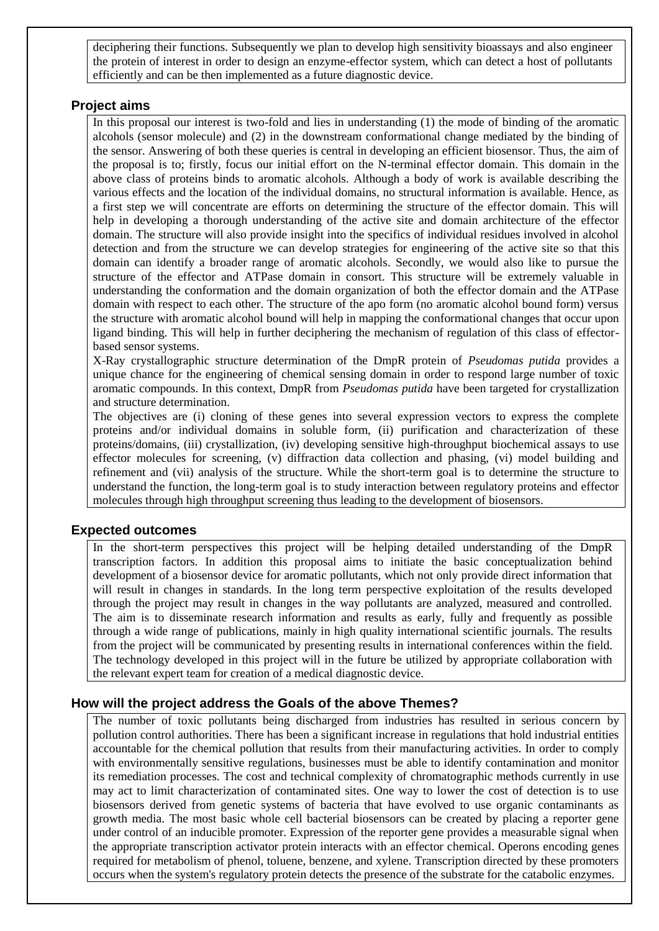deciphering their functions. Subsequently we plan to develop high sensitivity bioassays and also engineer the protein of interest in order to design an enzyme-effector system, which can detect a host of pollutants efficiently and can be then implemented as a future diagnostic device.

### **Project aims**

In this proposal our interest is two-fold and lies in understanding (1) the mode of binding of the aromatic alcohols (sensor molecule) and (2) in the downstream conformational change mediated by the binding of the sensor. Answering of both these queries is central in developing an efficient biosensor. Thus, the aim of the proposal is to; firstly, focus our initial effort on the N-terminal effector domain. This domain in the above class of proteins binds to aromatic alcohols. Although a body of work is available describing the various effects and the location of the individual domains, no structural information is available. Hence, as a first step we will concentrate are efforts on determining the structure of the effector domain. This will help in developing a thorough understanding of the active site and domain architecture of the effector domain. The structure will also provide insight into the specifics of individual residues involved in alcohol detection and from the structure we can develop strategies for engineering of the active site so that this domain can identify a broader range of aromatic alcohols. Secondly, we would also like to pursue the structure of the effector and ATPase domain in consort. This structure will be extremely valuable in understanding the conformation and the domain organization of both the effector domain and the ATPase domain with respect to each other. The structure of the apo form (no aromatic alcohol bound form) versus the structure with aromatic alcohol bound will help in mapping the conformational changes that occur upon ligand binding. This will help in further deciphering the mechanism of regulation of this class of effectorbased sensor systems.

X-Ray crystallographic structure determination of the DmpR protein of *Pseudomas putida* provides a unique chance for the engineering of chemical sensing domain in order to respond large number of toxic aromatic compounds. In this context, DmpR from *Pseudomas putida* have been targeted for crystallization and structure determination.

The objectives are (i) cloning of these genes into several expression vectors to express the complete proteins and/or individual domains in soluble form, (ii) purification and characterization of these proteins/domains, (iii) crystallization, (iv) developing sensitive high-throughput biochemical assays to use effector molecules for screening, (v) diffraction data collection and phasing, (vi) model building and refinement and (vii) analysis of the structure. While the short-term goal is to determine the structure to understand the function, the long-term goal is to study interaction between regulatory proteins and effector molecules through high throughput screening thus leading to the development of biosensors.

#### **Expected outcomes**

In the short-term perspectives this project will be helping detailed understanding of the DmpR transcription factors. In addition this proposal aims to initiate the basic conceptualization behind development of a biosensor device for aromatic pollutants, which not only provide direct information that will result in changes in standards. In the long term perspective exploitation of the results developed through the project may result in changes in the way pollutants are analyzed, measured and controlled. The aim is to disseminate research information and results as early, fully and frequently as possible through a wide range of publications, mainly in high quality international scientific journals. The results from the project will be communicated by presenting results in international conferences within the field. The technology developed in this project will in the future be utilized by appropriate collaboration with the relevant expert team for creation of a medical diagnostic device.

# **How will the project address the Goals of the above Themes?**

The number of toxic pollutants being discharged from industries has resulted in serious concern by pollution control authorities. There has been a significant increase in regulations that hold industrial entities accountable for the chemical pollution that results from their manufacturing activities. In order to comply with environmentally sensitive regulations, businesses must be able to identify contamination and monitor its remediation processes. The cost and technical complexity of chromatographic methods currently in use may act to limit characterization of contaminated sites. One way to lower the cost of detection is to use biosensors derived from genetic systems of bacteria that have evolved to use organic contaminants as growth media. The most basic whole cell bacterial biosensors can be created by placing a reporter gene under control of an inducible promoter. Expression of the reporter gene provides a measurable signal when the appropriate transcription activator protein interacts with an effector chemical. Operons encoding genes required for metabolism of phenol, toluene, benzene, and xylene. Transcription directed by these promoters occurs when the system's regulatory protein detects the presence of the substrate for the catabolic enzymes.